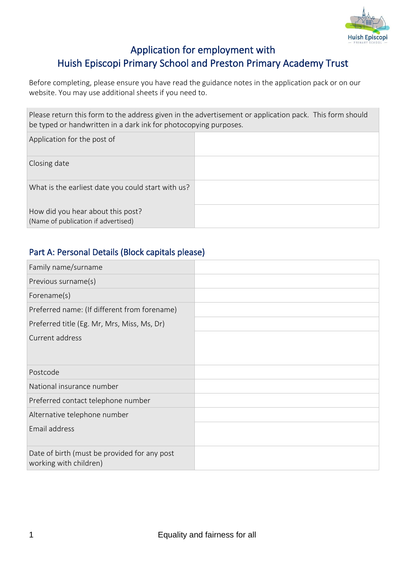

# Application for employment with Huish Episcopi Primary School and Preston Primary Academy Trust

Before completing, please ensure you have read the guidance notes in the application pack or on our website. You may use additional sheets if you need to.

Please return this form to the address given in the advertisement or application pack. This form should be typed or handwritten in a dark ink for photocopying purposes.

| Application for the post of                                              |  |
|--------------------------------------------------------------------------|--|
| Closing date                                                             |  |
| What is the earliest date you could start with us?                       |  |
| How did you hear about this post?<br>(Name of publication if advertised) |  |

## Part A: Personal Details (Block capitals please)

| Family name/surname                                                    |  |
|------------------------------------------------------------------------|--|
| Previous surname(s)                                                    |  |
| Forename(s)                                                            |  |
| Preferred name: (If different from forename)                           |  |
| Preferred title (Eg. Mr, Mrs, Miss, Ms, Dr)                            |  |
| Current address                                                        |  |
| Postcode                                                               |  |
| National insurance number                                              |  |
| Preferred contact telephone number                                     |  |
| Alternative telephone number                                           |  |
| Email address                                                          |  |
| Date of birth (must be provided for any post<br>working with children) |  |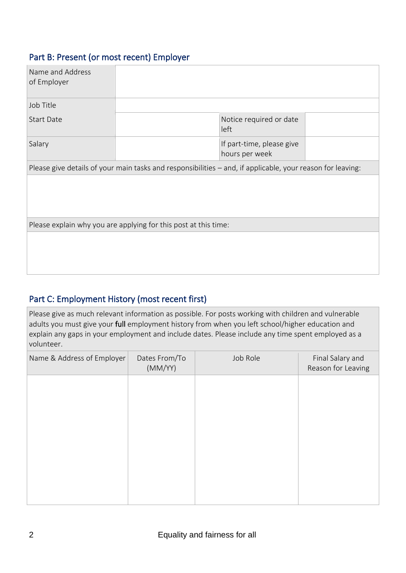### Part B: Present (or most recent) Employer

| Name and Address<br>of Employer |                                                                                                            |  |
|---------------------------------|------------------------------------------------------------------------------------------------------------|--|
| Job Title                       |                                                                                                            |  |
| <b>Start Date</b>               | Notice required or date<br>left                                                                            |  |
| Salary                          | If part-time, please give<br>hours per week                                                                |  |
|                                 | Please give details of your main tasks and responsibilities - and, if applicable, your reason for leaving: |  |
|                                 |                                                                                                            |  |
|                                 | Please explain why you are applying for this post at this time:                                            |  |
|                                 |                                                                                                            |  |

# Part C: Employment History (most recent first)

Please give as much relevant information as possible. For posts working with children and vulnerable adults you must give your full employment history from when you left school/higher education and explain any gaps in your employment and include dates. Please include any time spent employed as a volunteer.

| Name & Address of Employer | Dates From/To<br>(MM/YY) | Job Role | Final Salary and<br>Reason for Leaving |
|----------------------------|--------------------------|----------|----------------------------------------|
|                            |                          |          |                                        |
|                            |                          |          |                                        |
|                            |                          |          |                                        |
|                            |                          |          |                                        |
|                            |                          |          |                                        |
|                            |                          |          |                                        |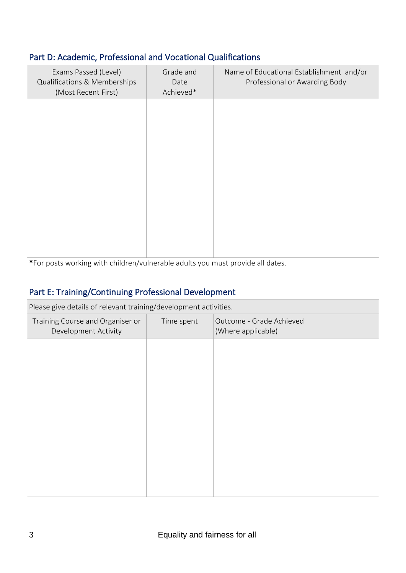## Part D: Academic, Professional and Vocational Qualifications

| Exams Passed (Level)<br>Qualifications & Memberships<br>(Most Recent First) | Grade and<br>Date<br>Achieved* | Name of Educational Establishment and/or<br>Professional or Awarding Body |
|-----------------------------------------------------------------------------|--------------------------------|---------------------------------------------------------------------------|
|                                                                             |                                |                                                                           |
|                                                                             |                                |                                                                           |
|                                                                             |                                |                                                                           |
|                                                                             |                                |                                                                           |
|                                                                             |                                |                                                                           |

\*For posts working with children/vulnerable adults you must provide all dates.

# Part E: Training/Continuing Professional Development

| Please give details of relevant training/development activities. |            |                                                |
|------------------------------------------------------------------|------------|------------------------------------------------|
| Training Course and Organiser or<br>Development Activity         | Time spent | Outcome - Grade Achieved<br>(Where applicable) |
|                                                                  |            |                                                |
|                                                                  |            |                                                |
|                                                                  |            |                                                |
|                                                                  |            |                                                |
|                                                                  |            |                                                |
|                                                                  |            |                                                |
|                                                                  |            |                                                |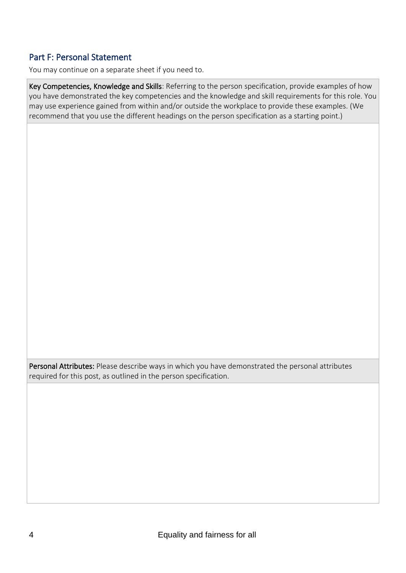### Part F: Personal Statement

You may continue on a separate sheet if you need to.

Key Competencies, Knowledge and Skills: Referring to the person specification, provide examples of how you have demonstrated the key competencies and the knowledge and skill requirements for this role. You may use experience gained from within and/or outside the workplace to provide these examples. (We recommend that you use the different headings on the person specification as a starting point.)

Personal Attributes: Please describe ways in which you have demonstrated the personal attributes required for this post, as outlined in the person specification.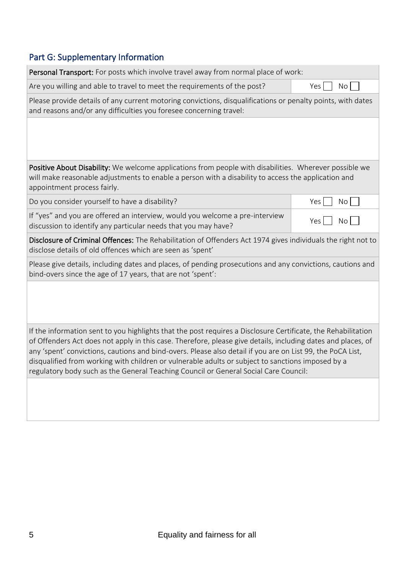# Part G: Supplementary Information

| Personal Transport: For posts which involve travel away from normal place of work:                                                                                                                                                                                                                                                                                                                                                                                                                                                       |                  |
|------------------------------------------------------------------------------------------------------------------------------------------------------------------------------------------------------------------------------------------------------------------------------------------------------------------------------------------------------------------------------------------------------------------------------------------------------------------------------------------------------------------------------------------|------------------|
| Are you willing and able to travel to meet the requirements of the post?                                                                                                                                                                                                                                                                                                                                                                                                                                                                 | Yes<br><b>No</b> |
| Please provide details of any current motoring convictions, disqualifications or penalty points, with dates<br>and reasons and/or any difficulties you foresee concerning travel:                                                                                                                                                                                                                                                                                                                                                        |                  |
|                                                                                                                                                                                                                                                                                                                                                                                                                                                                                                                                          |                  |
| Positive About Disability: We welcome applications from people with disabilities. Wherever possible we<br>will make reasonable adjustments to enable a person with a disability to access the application and<br>appointment process fairly.                                                                                                                                                                                                                                                                                             |                  |
| Do you consider yourself to have a disability?                                                                                                                                                                                                                                                                                                                                                                                                                                                                                           | Yes  <br>No      |
| If "yes" and you are offered an interview, would you welcome a pre-interview<br>discussion to identify any particular needs that you may have?                                                                                                                                                                                                                                                                                                                                                                                           | Yes<br>No        |
| Disclosure of Criminal Offences: The Rehabilitation of Offenders Act 1974 gives individuals the right not to<br>disclose details of old offences which are seen as 'spent'                                                                                                                                                                                                                                                                                                                                                               |                  |
| Please give details, including dates and places, of pending prosecutions and any convictions, cautions and<br>bind-overs since the age of 17 years, that are not 'spent':                                                                                                                                                                                                                                                                                                                                                                |                  |
|                                                                                                                                                                                                                                                                                                                                                                                                                                                                                                                                          |                  |
| If the information sent to you highlights that the post requires a Disclosure Certificate, the Rehabilitation<br>of Offenders Act does not apply in this case. Therefore, please give details, including dates and places, of<br>any 'spent' convictions, cautions and bind-overs. Please also detail if you are on List 99, the PoCA List,<br>disqualified from working with children or vulnerable adults or subject to sanctions imposed by a<br>regulatory body such as the General Teaching Council or General Social Care Council: |                  |
|                                                                                                                                                                                                                                                                                                                                                                                                                                                                                                                                          |                  |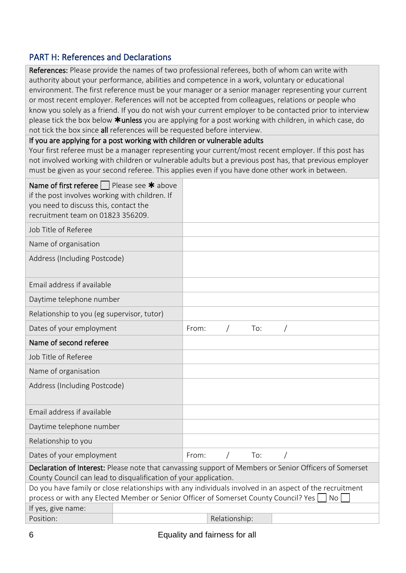### PART H: References and Declarations

References: Please provide the names of two professional referees, both of whom can write with authority about your performance, abilities and competence in a work, voluntary or educational environment. The first reference must be your manager or a senior manager representing your current or most recent employer. References will not be accepted from colleagues, relations or people who know you solely as a friend. If you do not wish your current employer to be contacted prior to interview please tick the box below  $*$ unless you are applying for a post working with children, in which case, do not tick the box since all references will be requested before interview.

If you are applying for a post working with children or vulnerable adults

Your first referee must be a manager representing your current/most recent employer. If this post has not involved working with children or vulnerable adults but a previous post has, that previous employer must be given as your second referee. This applies even if you have done other work in between.

| Name of first referee $\vert \ \vert$ Please see $\ast$ above<br>if the post involves working with children. If<br>you need to discuss this, contact the<br>recruitment team on 01823 356209. |       |               |     |    |
|-----------------------------------------------------------------------------------------------------------------------------------------------------------------------------------------------|-------|---------------|-----|----|
| Job Title of Referee                                                                                                                                                                          |       |               |     |    |
| Name of organisation                                                                                                                                                                          |       |               |     |    |
| Address (Including Postcode)                                                                                                                                                                  |       |               |     |    |
| Email address if available                                                                                                                                                                    |       |               |     |    |
| Daytime telephone number                                                                                                                                                                      |       |               |     |    |
| Relationship to you (eg supervisor, tutor)                                                                                                                                                    |       |               |     |    |
| Dates of your employment                                                                                                                                                                      | From: |               | To: |    |
| Name of second referee                                                                                                                                                                        |       |               |     |    |
| Job Title of Referee                                                                                                                                                                          |       |               |     |    |
| Name of organisation                                                                                                                                                                          |       |               |     |    |
| Address (Including Postcode)                                                                                                                                                                  |       |               |     |    |
| Email address if available                                                                                                                                                                    |       |               |     |    |
| Daytime telephone number                                                                                                                                                                      |       |               |     |    |
| Relationship to you                                                                                                                                                                           |       |               |     |    |
| Dates of your employment                                                                                                                                                                      | From: |               | To: |    |
| Declaration of Interest: Please note that canvassing support of Members or Senior Officers of Somerset                                                                                        |       |               |     |    |
| County Council can lead to disqualification of your application.                                                                                                                              |       |               |     |    |
| Do you have family or close relationships with any individuals involved in an aspect of the recruitment                                                                                       |       |               |     |    |
| process or with any Elected Member or Senior Officer of Somerset County Council? Yes                                                                                                          |       |               |     | No |
| If yes, give name:<br>Position:                                                                                                                                                               |       | Relationship: |     |    |
|                                                                                                                                                                                               |       |               |     |    |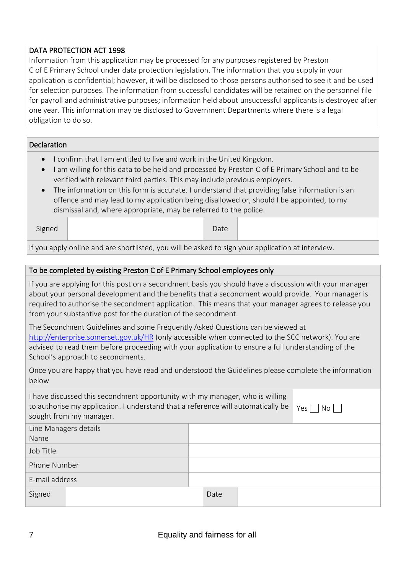#### DATA PROTECTION ACT 1998

Information from this application may be processed for any purposes registered by Preston C of E Primary School under data protection legislation. The information that you supply in your application is confidential; however, it will be disclosed to those persons authorised to see it and be used for selection purposes. The information from successful candidates will be retained on the personnel file for payroll and administrative purposes; information held about unsuccessful applicants is destroyed after one year. This information may be disclosed to Government Departments where there is a legal obligation to do so.

#### Declaration

- I confirm that I am entitled to live and work in the United Kingdom.
- I am willing for this data to be held and processed by Preston C of E Primary School and to be verified with relevant third parties. This may include previous employers.
- The information on this form is accurate. I understand that providing false information is an offence and may lead to my application being disallowed or, should I be appointed, to my dismissal and, where appropriate, may be referred to the police.

| Signed | Date |  |
|--------|------|--|
|        |      |  |

If you apply online and are shortlisted, you will be asked to sign your application at interview.

#### To be completed by existing Preston C of E Primary School employees only

If you are applying for this post on a secondment basis you should have a discussion with your manager about your personal development and the benefits that a secondment would provide. Your manager is required to authorise the secondment application. This means that your manager agrees to release you from your substantive post for the duration of the secondment.

The Secondment Guidelines and some Frequently Asked Questions can be viewed at <http://enterprise.somerset.gov.uk/HR> (only accessible when connected to the SCC network). You are advised to read them before proceeding with your application to ensure a full understanding of the School's approach to secondments.

Once you are happy that you have read and understood the Guidelines please complete the information below

|                       | I have discussed this secondment opportunity with my manager, who is willing<br>to authorise my application. I understand that a reference will automatically be<br>sought from my manager. |      | Yes  <br>No |
|-----------------------|---------------------------------------------------------------------------------------------------------------------------------------------------------------------------------------------|------|-------------|
| Line Managers details |                                                                                                                                                                                             |      |             |
| Name                  |                                                                                                                                                                                             |      |             |
| Job Title             |                                                                                                                                                                                             |      |             |
| Phone Number          |                                                                                                                                                                                             |      |             |
| E-mail address        |                                                                                                                                                                                             |      |             |
| Signed                |                                                                                                                                                                                             | Date |             |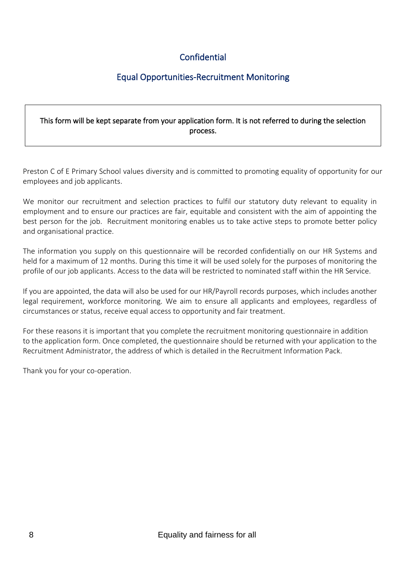# **Confidential**

# Equal Opportunities-Recruitment Monitoring

#### This form will be kept separate from your application form. It is not referred to during the selection process.

Preston C of E Primary School values diversity and is committed to promoting equality of opportunity for our employees and job applicants.

We monitor our recruitment and selection practices to fulfil our statutory duty relevant to equality in employment and to ensure our practices are fair, equitable and consistent with the aim of appointing the best person for the job. Recruitment monitoring enables us to take active steps to promote better policy and organisational practice.

The information you supply on this questionnaire will be recorded confidentially on our HR Systems and held for a maximum of 12 months. During this time it will be used solely for the purposes of monitoring the profile of our job applicants. Access to the data will be restricted to nominated staff within the HR Service.

If you are appointed, the data will also be used for our HR/Payroll records purposes, which includes another legal requirement, workforce monitoring. We aim to ensure all applicants and employees, regardless of circumstances or status, receive equal access to opportunity and fair treatment.

For these reasons it is important that you complete the recruitment monitoring questionnaire in addition to the application form. Once completed, the questionnaire should be returned with your application to the Recruitment Administrator, the address of which is detailed in the Recruitment Information Pack.

Thank you for your co-operation.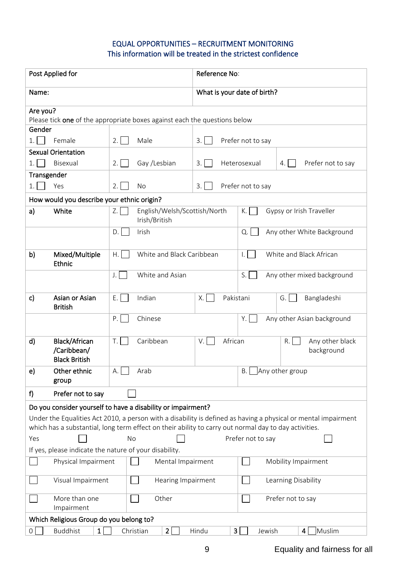#### EQUAL OPPORTUNITIES – RECRUITMENT MONITORING This information will be treated in the strictest confidence

| Post Applied for                                                                                      |                                                     | Reference No:               |                                                                                                                |
|-------------------------------------------------------------------------------------------------------|-----------------------------------------------------|-----------------------------|----------------------------------------------------------------------------------------------------------------|
| Name:                                                                                                 |                                                     | What is your date of birth? |                                                                                                                |
| Are you?                                                                                              |                                                     |                             |                                                                                                                |
| Please tick <b>one</b> of the appropriate boxes against each the questions below                      |                                                     |                             |                                                                                                                |
| Gender                                                                                                |                                                     |                             |                                                                                                                |
| 1.1<br>Female                                                                                         | 2.1<br>Male                                         | 3.1                         | Prefer not to say                                                                                              |
| <b>Sexual Orientation</b>                                                                             |                                                     |                             |                                                                                                                |
| Bisexual<br>1.1                                                                                       | Gay /Lesbian<br>2.1                                 | 3.1                         | Heterosexual<br>Prefer not to say<br>4.                                                                        |
| Transgender                                                                                           |                                                     |                             |                                                                                                                |
| Yes<br>1.                                                                                             | 2.1<br>No                                           | 3.1                         | Prefer not to say                                                                                              |
| How would you describe your ethnic origin?                                                            |                                                     |                             |                                                                                                                |
| White<br>a)                                                                                           | Z.<br>English/Welsh/Scottish/North<br>Irish/British |                             | Gypsy or Irish Traveller<br>K.                                                                                 |
|                                                                                                       | Irish<br>D.                                         |                             | Any other White Background<br>Q.                                                                               |
| b)<br>Mixed/Multiple<br><b>Ethnic</b>                                                                 | White and Black Caribbean<br>H.                     |                             | White and Black African<br>$\vert . \vert$                                                                     |
|                                                                                                       | J.<br>White and Asian                               |                             | S.<br>Any other mixed background                                                                               |
| Asian or Asian<br>$\mathsf{c}$<br><b>British</b>                                                      | E.<br>Indian                                        | Pakistani<br>Χ.             | Bangladeshi<br>G.                                                                                              |
|                                                                                                       | P.<br>Chinese                                       |                             | Y.<br>Any other Asian background                                                                               |
| Black/African<br>d)<br>/Caribbean/<br><b>Black British</b>                                            | Caribbean<br>T.                                     | African<br>$V_{\cdot}$      | Any other black<br>R.<br>background                                                                            |
| e)<br>Other ethnic<br>group                                                                           | A.<br>Arab                                          |                             | B. Any other group                                                                                             |
| f<br>Prefer not to say                                                                                |                                                     |                             |                                                                                                                |
| Do you consider yourself to have a disability or impairment?                                          |                                                     |                             |                                                                                                                |
|                                                                                                       |                                                     |                             | Under the Equalities Act 2010, a person with a disability is defined as having a physical or mental impairment |
| which has a substantial, long term effect on their ability to carry out normal day to day activities. |                                                     |                             |                                                                                                                |
| Yes                                                                                                   | No                                                  |                             | Prefer not to say                                                                                              |
| If yes, please indicate the nature of your disability.                                                |                                                     |                             |                                                                                                                |
| Physical Impairment                                                                                   | Mental Impairment                                   |                             | Mobility Impairment                                                                                            |
| Visual Impairment                                                                                     | Hearing Impairment                                  |                             | Learning Disability                                                                                            |
| More than one<br>Impairment                                                                           | Other                                               |                             | Prefer not to say                                                                                              |
| Which Religious Group do you belong to?                                                               |                                                     |                             |                                                                                                                |
| <b>Buddhist</b><br>$\overline{O}$<br>$\mathbf{1}$                                                     | Christian<br>2                                      | Hindu<br>3                  | Muslim<br>Jewish<br>4                                                                                          |